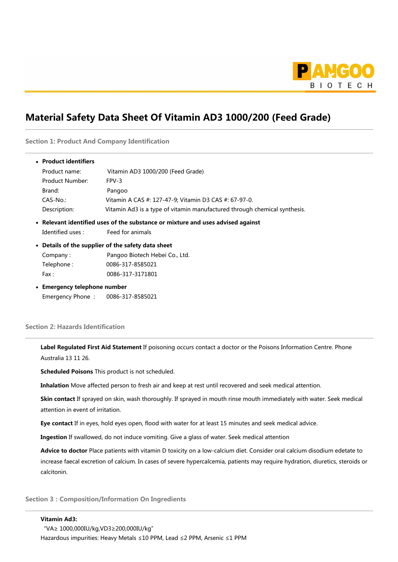

## Material Safety Data Sheet Of Vitamin AD3 1000/200 (Feed Grade)

Section 1: Product And Company Identification

| • Product identifiers        |                                                                                 |
|------------------------------|---------------------------------------------------------------------------------|
| Product name:                | Vitamin AD3 1000/200 (Feed Grade)                                               |
| Product Number:              | FPV-3                                                                           |
| Brand:                       | Pangoo                                                                          |
| CAS-No.:                     | Vitamin A CAS #: 127-47-9; Vitamin D3 CAS #: 67-97-0.                           |
| Description:                 | Vitamin Ad3 is a type of vitamin manufactured through chemical synthesis.       |
|                              | • Relevant identified uses of the substance or mixture and uses advised against |
| Identified uses :            | Feed for animals                                                                |
|                              | • Details of the supplier of the safety data sheet                              |
| Company:                     | Pangoo Biotech Hebei Co., Ltd.                                                  |
| Telephone:                   | 0086-317-8585021                                                                |
| $\mathsf{Fax}$ :             | 0086-317-3171801                                                                |
| • Emergency telephone number |                                                                                 |
|                              | Emergency Phone: 0086-317-8585021                                               |

## Section 2: Hazards Identification

Label Regulated First Aid Statement If poisoning occurs contact a doctor or the Poisons Information Centre. Phone Australia 13 11 26.

Scheduled Poisons This product is not scheduled.

Inhalation Move affected person to fresh air and keep at rest until recovered and seek medical attention.

Skin contact If sprayed on skin, wash thoroughly. If sprayed in mouth rinse mouth immediately with water. Seek medical attention in event of irritation.

Eye contact If in eyes, hold eyes open, flood with water for at least 15 minutes and seek medical advice.

Ingestion If swallowed, do not induce vomiting. Give a glass of water. Seek medical attention

Advice to doctor Place patients with vitamin D toxicity on a low-calcium diet. Consider oral calcium disodium edetate to increase faecal excretion of calcium. In cases of severe hypercalcemia, patients may require hydration, diuretics, steroids or calcitonin.

Section 3: Composition/Information On Ingredients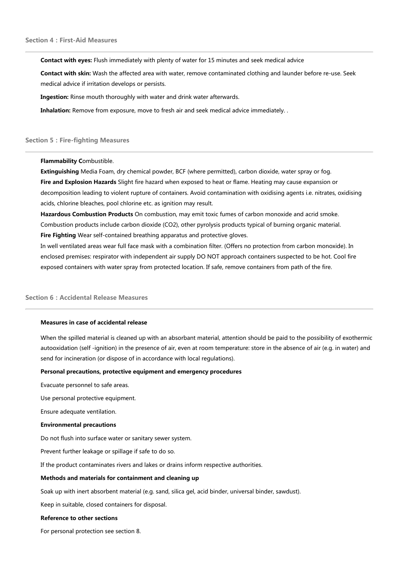Contact with eyes: Flush immediately with plenty of water for 15 minutes and seek medical advice

Contact with skin: Wash the affected area with water, remove contaminated clothing and launder before re-use. Seek medical advice if irritation develops or persists.

Ingestion: Rinse mouth thoroughly with water and drink water afterwards.

Inhalation: Remove from exposure, move to fresh air and seek medical advice immediately. .

#### **Section 5: Fire-fighting Measures**

Flammability Combustible.

Extinguishing Media Foam, dry chemical powder, BCF (where permitted), carbon dioxide, water spray or fog. Fire and Explosion Hazards Slight fire hazard when exposed to heat or flame. Heating may cause expansion or decomposition leading to violent rupture of containers. Avoid contamination with oxidising agents i.e. nitrates, oxidising acids, chlorine bleaches, pool chlorine etc. as ignition may result.

Hazardous Combustion Products On combustion, may emit toxic fumes of carbon monoxide and acrid smoke. Combustion products include carbon dioxide (CO2), other pyrolysis products typical of burning organic material. Fire Fighting Wear self-contained breathing apparatus and protective gloves.

In well ventilated areas wear full face mask with a combination filter. (Offers no protection from carbon monoxide). In enclosed premises: respirator with independent air supply DO NOT approach containers suspected to be hot. Cool fire exposed containers with water spray from protected location. If safe, remove containers from path of the fire.

## Section 6 : Accidental Release Measures

#### Measures in case of accidental release

When the spilled material is cleaned up with an absorbant material, attention should be paid to the possibility of exothermic autooxidation (self -ignition) in the presence of air, even at room temperature: store in the absence of air (e.g. in water) and send for incineration (or dispose of in accordance with local regulations).

#### Personal precautions, protective equipment and emergency procedures

Evacuate personnel to safe areas.

Use personal protective equipment.

Ensure adequate ventilation.

#### Environmental precautions

Do not flush into surface water or sanitary sewer system.

Prevent further leakage or spillage if safe to do so.

If the product contaminates rivers and lakes or drains inform respective authorities.

#### Methods and materials for containment and cleaning up

Soak up with inert absorbent material (e.g. sand, silica gel, acid binder, universal binder, sawdust).

Keep in suitable, closed containers for disposal.

#### Reference to other sections

For personal protection see section 8.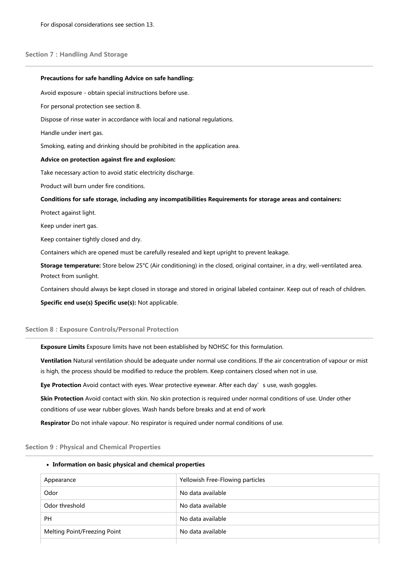#### Section 7: Handling And Storage

# Precautions for safe handling Advice on safe handling: Avoid exposure - obtain special instructions before use. For personal protection see section 8. Dispose of rinse water in accordance with local and national regulations. Handle under inert gas. Smoking, eating and drinking should be prohibited in the application area. Advice on protection against fire and explosion: Take necessary action to avoid static electricity discharge. Product will burn under fire conditions. Conditions for safe storage, including any incompatibilities Requirements for storage areas and containers: Protect against light. Keep under inert gas. Keep container tightly closed and dry. Containers which are opened must be carefully resealed and kept upright to prevent leakage. Storage temperature: Store below 25°C (Air conditioning) in the closed, original container, in a dry, well-ventilated area. Protect from sunlight. Containers should always be kept closed in storage and stored in original labeled container. Keep out of reach of children. Specific end use(s) Specific use(s): Not applicable.

## Section 8:Exposure Controls/Personal Protection

Exposure Limits Exposure limits have not been established by NOHSC for this formulation.

Ventilation Natural ventilation should be adequate under normal use conditions. If the air concentration of vapour or mist is high, the process should be modified to reduce the problem. Keep containers closed when not in use.

Eye Protection Avoid contact with eyes. Wear protective eyewear. After each day's use, wash goggles.

Skin Protection Avoid contact with skin. No skin protection is required under normal conditions of use. Under other conditions of use wear rubber gloves. Wash hands before breaks and at end of work

Respirator Do not inhale vapour. No respirator is required under normal conditions of use.

## **Section 9: Physical and Chemical Properties**

## • Information on basic physical and chemical properties

| Appearance                   | Yellowish Free-Flowing particles |
|------------------------------|----------------------------------|
| Odor                         | No data available                |
| Odor threshold               | No data available                |
| <b>PH</b>                    | No data available                |
| Melting Point/Freezing Point | No data available                |
|                              |                                  |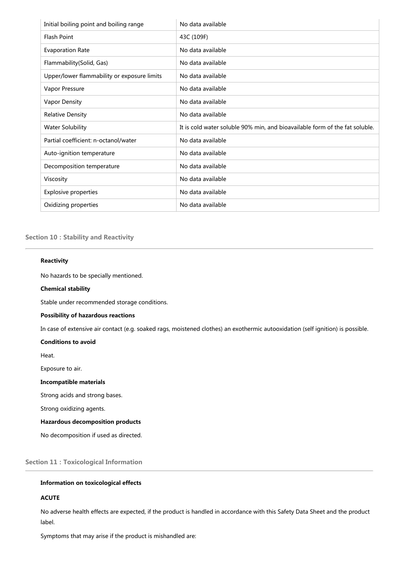| Initial boiling point and boiling range     | No data available                                                           |
|---------------------------------------------|-----------------------------------------------------------------------------|
| <b>Flash Point</b>                          | 43C (109F)                                                                  |
| <b>Evaporation Rate</b>                     | No data available                                                           |
| Flammability(Solid, Gas)                    | No data available                                                           |
| Upper/lower flammability or exposure limits | No data available                                                           |
| Vapor Pressure                              | No data available                                                           |
| Vapor Density                               | No data available                                                           |
| <b>Relative Density</b>                     | No data available                                                           |
| <b>Water Solubility</b>                     | It is cold water soluble 90% min, and bioavailable form of the fat soluble. |
| Partial coefficient: n-octanol/water        | No data available                                                           |
| Auto-ignition temperature                   | No data available                                                           |
| Decomposition temperature                   | No data available                                                           |
| Viscosity                                   | No data available                                                           |
| <b>Explosive properties</b>                 | No data available                                                           |
| Oxidizing properties                        | No data available                                                           |

## Section 10 : Stability and Reactivity

#### Reactivity

No hazards to be specially mentioned.

#### Chemical stability

Stable under recommended storage conditions.

#### Possibility of hazardous reactions

In case of extensive air contact (e.g. soaked rags, moistened clothes) an exothermic autooxidation (self ignition) is possible.

## Conditions to avoid

Heat.

Exposure to air.

#### Incompatible materials

Strong acids and strong bases.

Strong oxidizing agents.

### Hazardous decomposition products

No decomposition if used as directed.

Section 11: Toxicological Information

## Information on toxicological effects

## ACUTE

No adverse health effects are expected, if the product is handled in accordance with this Safety Data Sheet and the product label.

Symptoms that may arise if the product is mishandled are: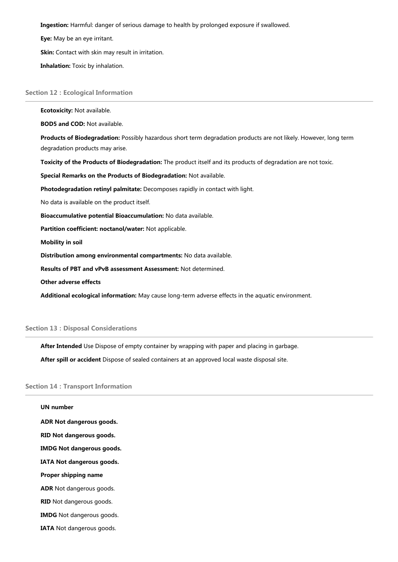Ingestion: Harmful: danger of serious damage to health by prolonged exposure if swallowed.

Eye: May be an eye irritant.

Skin: Contact with skin may result in irritation.

Inhalation: Toxic by inhalation.

#### **Section 12: Ecological Information**

Ecotoxicity: Not available. BOD5 and COD: Not available. Products of Biodegradation: Possibly hazardous short term degradation products are not likely. However, long term degradation products may arise. Toxicity of the Products of Biodegradation: The product itself and its products of degradation are not toxic. Special Remarks on the Products of Biodegradation: Not available. Photodegradation retinyl palmitate: Decomposes rapidly in contact with light. No data is available on the product itself. Bioaccumulative potential Bioaccumulation: No data available. Partition coefficient: noctanol/water: Not applicable. Mobility in soil Distribution among environmental compartments: No data available. Results of PBT and vPvB assessment Assessment: Not determined. Other adverse effects

Additional ecological information: May cause long-term adverse effects in the aquatic environment.

### **Section 13: Disposal Considerations**

After Intended Use Dispose of empty container by wrapping with paper and placing in garbage.

After spill or accident Dispose of sealed containers at an approved local waste disposal site.

#### Section 14 : Transport Information

| <b>UN number</b>                 |  |  |
|----------------------------------|--|--|
| ADR Not dangerous goods.         |  |  |
| RID Not dangerous goods.         |  |  |
| <b>IMDG Not dangerous goods.</b> |  |  |
| IATA Not dangerous goods.        |  |  |
| Proper shipping name             |  |  |
| <b>ADR</b> Not dangerous goods.  |  |  |
| <b>RID</b> Not dangerous goods.  |  |  |
| <b>IMDG</b> Not dangerous goods. |  |  |
| <b>IATA</b> Not dangerous goods. |  |  |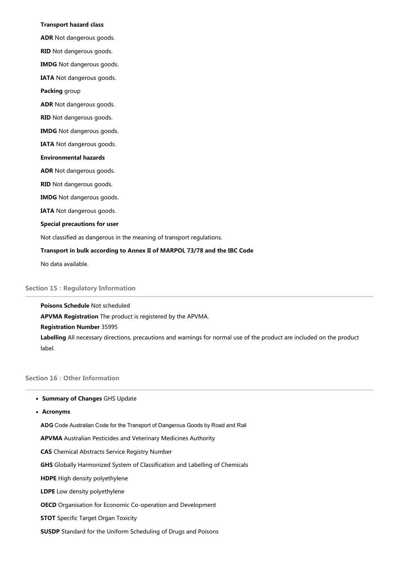#### Transport hazard class

ADR Not dangerous goods.

RID Not dangerous goods.

IMDG Not dangerous goods.

IATA Not dangerous goods.

Packing group

ADR Not dangerous goods.

RID Not dangerous goods.

IMDG Not dangerous goods.

IATA Not dangerous goods.

#### Environmental hazards

ADR Not dangerous goods.

RID Not dangerous goods.

IMDG Not dangerous goods.

IATA Not dangerous goods.

Special precautions for user

Not classified as dangerous in the meaning of transport regulations.

#### Transport in bulk according to Annex II of MARPOL 73/78 and the IBC Code

No data available.

## **Section 15: Regulatory Information**

Poisons Schedule Not scheduled APVMA Registration The product is registered by the APVMA. Registration Number 35995 Labelling All necessary directions, precautions and warnings for normal use of the product are included on the product label.

## Section 16: Other Information

#### • Summary of Changes GHS Update

Acronyms

ADG Code Australian Code for the Transport of Dangerous Goods by Road and Rail

APVMA Australian Pesticides and Veterinary Medicines Authority

CAS Chemical Abstracts Service Registry Number

GHS Globally Harmonized System of Classification and Labelling of Chemicals

HDPE High density polyethylene

LDPE Low density polyethylene

OECD Organisation for Economic Co-operation and Development

STOT Specific Target Organ Toxicity

SUSDP Standard for the Uniform Scheduling of Drugs and Poisons